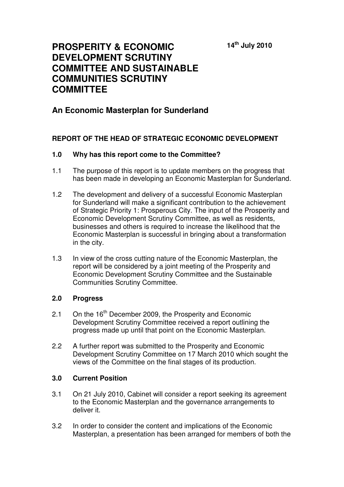**14th July 2010** 

# **PROSPERITY & ECONOMIC DEVELOPMENT SCRUTINY COMMITTEE AND SUSTAINABLE COMMUNITIES SCRUTINY COMMITTEE**

# **An Economic Masterplan for Sunderland**

# **REPORT OF THE HEAD OF STRATEGIC ECONOMIC DEVELOPMENT**

#### **1.0 Why has this report come to the Committee?**

- 1.1 The purpose of this report is to update members on the progress that has been made in developing an Economic Masterplan for Sunderland.
- 1.2 The development and delivery of a successful Economic Masterplan for Sunderland will make a significant contribution to the achievement of Strategic Priority 1: Prosperous City. The input of the Prosperity and Economic Development Scrutiny Committee, as well as residents, businesses and others is required to increase the likelihood that the Economic Masterplan is successful in bringing about a transformation in the city.
- 1.3 In view of the cross cutting nature of the Economic Masterplan, the report will be considered by a joint meeting of the Prosperity and Economic Development Scrutiny Committee and the Sustainable Communities Scrutiny Committee.

#### **2.0 Progress**

- 2.1 On the 16<sup>th</sup> December 2009, the Prosperity and Economic Development Scrutiny Committee received a report outlining the progress made up until that point on the Economic Masterplan.
- 2.2 A further report was submitted to the Prosperity and Economic Development Scrutiny Committee on 17 March 2010 which sought the views of the Committee on the final stages of its production.

#### **3.0 Current Position**

- 3.1 On 21 July 2010, Cabinet will consider a report seeking its agreement to the Economic Masterplan and the governance arrangements to deliver it.
- 3.2 In order to consider the content and implications of the Economic Masterplan, a presentation has been arranged for members of both the